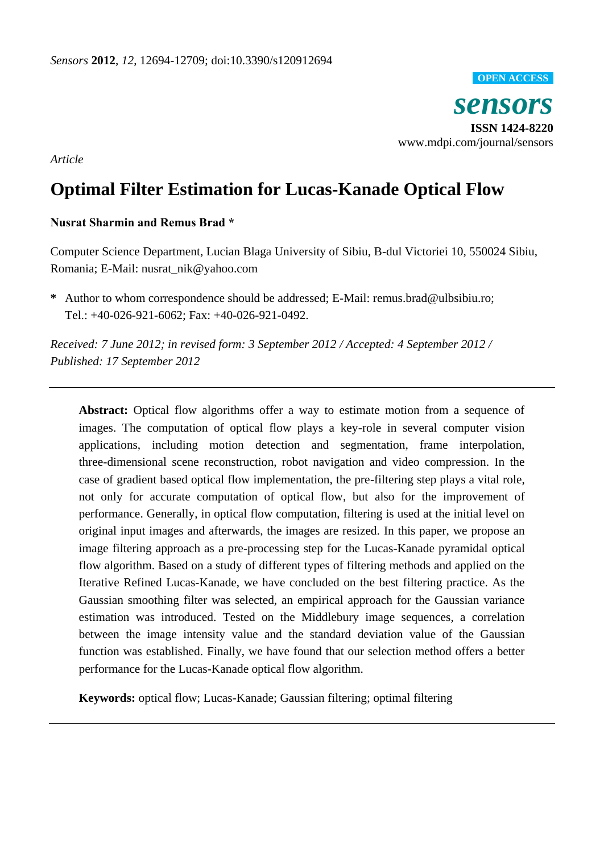### **OPEN ACCESS**

*sensors* **ISSN 1424-8220** www.mdpi.com/journal/sensors

*Article*

# **Optimal Filter Estimation for Lucas-Kanade Optical Flow**

# **Nusrat Sharmin and Remus Brad \***

Computer Science Department, Lucian Blaga University of Sibiu, B-dul Victoriei 10, 550024 Sibiu, Romania; E-Mail: nusrat\_nik@yahoo.com

**\*** Author to whom correspondence should be addressed; E-Mail: remus.brad@ulbsibiu.ro; Tel.: +40-026-921-6062; Fax: +40-026-921-0492.

*Received: 7 June 2012; in revised form: 3 September 2012 / Accepted: 4 September 2012 / Published: 17 September 2012*

**Abstract:** Optical flow algorithms offer a way to estimate motion from a sequence of images. The computation of optical flow plays a key-role in several computer vision applications, including motion detection and segmentation, frame interpolation, three-dimensional scene reconstruction, robot navigation and video compression. In the case of gradient based optical flow implementation, the pre-filtering step plays a vital role, not only for accurate computation of optical flow, but also for the improvement of performance. Generally, in optical flow computation, filtering is used at the initial level on original input images and afterwards, the images are resized. In this paper, we propose an image filtering approach as a pre-processing step for the Lucas-Kanade pyramidal optical flow algorithm. Based on a study of different types of filtering methods and applied on the Iterative Refined Lucas-Kanade, we have concluded on the best filtering practice. As the Gaussian smoothing filter was selected, an empirical approach for the Gaussian variance estimation was introduced. Tested on the Middlebury image sequences, a correlation between the image intensity value and the standard deviation value of the Gaussian function was established. Finally, we have found that our selection method offers a better performance for the Lucas-Kanade optical flow algorithm.

**Keywords:** optical flow; Lucas-Kanade; Gaussian filtering; optimal filtering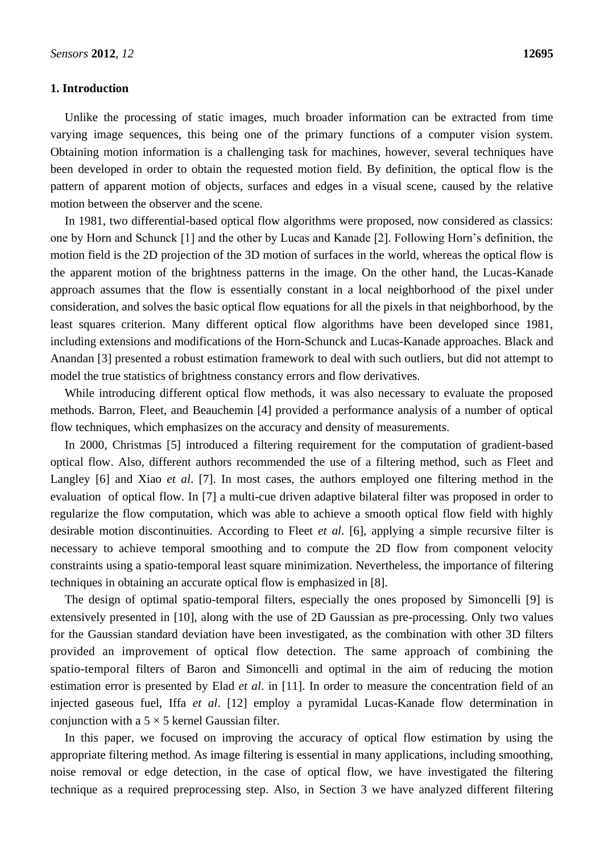#### **1. Introduction**

Unlike the processing of static images, much broader information can be extracted from time varying image sequences, this being one of the primary functions of a computer vision system. Obtaining motion information is a challenging task for machines, however, several techniques have been developed in order to obtain the requested motion field. By definition, the optical flow is the pattern of apparent motion of objects, surfaces and edges in a visual scene, caused by the relative motion between the observer and the scene.

In 1981, two differential-based optical flow algorithms were proposed, now considered as classics: one by Horn and Schunck [1] and the other by Lucas and Kanade [2]. Following Horn's definition, the motion field is the 2D projection of the 3D motion of surfaces in the world, whereas the optical flow is the apparent motion of the brightness patterns in the image. On the other hand, the Lucas-Kanade approach assumes that the flow is essentially constant in a local neighborhood of the pixel under consideration, and solves the basic optical flow equations for all the pixels in that neighborhood, by the least squares criterion. Many different optical flow algorithms have been developed since 1981, including extensions and modifications of the Horn-Schunck and Lucas-Kanade approaches. Black and Anandan [3] presented a robust estimation framework to deal with such outliers, but did not attempt to model the true statistics of brightness constancy errors and flow derivatives.

While introducing different optical flow methods, it was also necessary to evaluate the proposed methods. Barron, Fleet, and Beauchemin [4] provided a performance analysis of a number of optical flow techniques, which emphasizes on the accuracy and density of measurements.

In 2000, Christmas [5] introduced a filtering requirement for the computation of gradient-based optical flow. Also, different authors recommended the use of a filtering method, such as Fleet and Langley [6] and Xiao *et al.* [7]. In most cases, the authors employed one filtering method in the evaluation of optical flow. In [7] a multi-cue driven adaptive bilateral filter was proposed in order to regularize the flow computation, which was able to achieve a smooth optical flow field with highly desirable motion discontinuities. According to Fleet *et al*. [6], applying a simple recursive filter is necessary to achieve temporal smoothing and to compute the 2D flow from component velocity constraints using a spatio-temporal least square minimization. Nevertheless, the importance of filtering techniques in obtaining an accurate optical flow is emphasized in [8].

The design of optimal spatio-temporal filters, especially the ones proposed by Simoncelli [9] is extensively presented in [10], along with the use of 2D Gaussian as pre-processing. Only two values for the Gaussian standard deviation have been investigated, as the combination with other 3D filters provided an improvement of optical flow detection. The same approach of combining the spatio-temporal filters of Baron and Simoncelli and optimal in the aim of reducing the motion estimation error is presented by Elad *et al*. in [11]. In order to measure the concentration field of an injected gaseous fuel, Iffa *et al*. [12] employ a pyramidal Lucas-Kanade flow determination in conjunction with a  $5 \times 5$  kernel Gaussian filter.

In this paper, we focused on improving the accuracy of optical flow estimation by using the appropriate filtering method. As image filtering is essential in many applications, including smoothing, noise removal or edge detection, in the case of optical flow, we have investigated the filtering technique as a required preprocessing step. Also, in Section 3 we have analyzed different filtering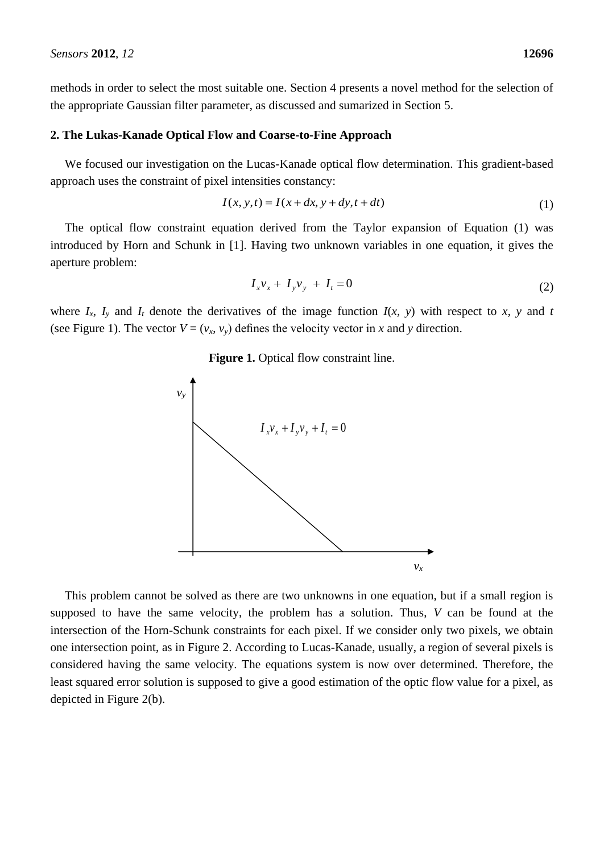methods in order to select the most suitable one. Section 4 presents a novel method for the selection of the appropriate Gaussian filter parameter, as discussed and sumarized in Section 5.

#### **2. The Lukas-Kanade Optical Flow and Coarse-to-Fine Approach**

We focused our investigation on the Lucas-Kanade optical flow determination. This gradient-based approach uses the constraint of pixel intensities constancy:

$$
I(x, y, t) = I(x + dx, y + dy, t + dt)
$$
 (1)

The optical flow constraint equation derived from the Taylor expansion of Equation (1) was introduced by Horn and Schunk in [1]. Having two unknown variables in one equation, it gives the aperture problem:

$$
I_x v_x + I_y v_y + I_t = 0 \tag{2}
$$

where  $I_x$ ,  $I_y$  and  $I_t$  denote the derivatives of the image function  $I(x, y)$  with respect to *x*, *y* and *t* (see Figure 1). The vector  $V = (v_x, v_y)$  defines the velocity vector in *x* and *y* direction.

#### **Figure 1.** Optical flow constraint line.



This problem cannot be solved as there are two unknowns in one equation, but if a small region is supposed to have the same velocity, the problem has a solution. Thus, *V* can be found at the intersection of the Horn-Schunk constraints for each pixel. If we consider only two pixels, we obtain one intersection point, as in Figure 2. According to Lucas-Kanade, usually, a region of several pixels is considered having the same velocity. The equations system is now over determined. Therefore, the least squared error solution is supposed to give a good estimation of the optic flow value for a pixel, as depicted in Figure 2(b).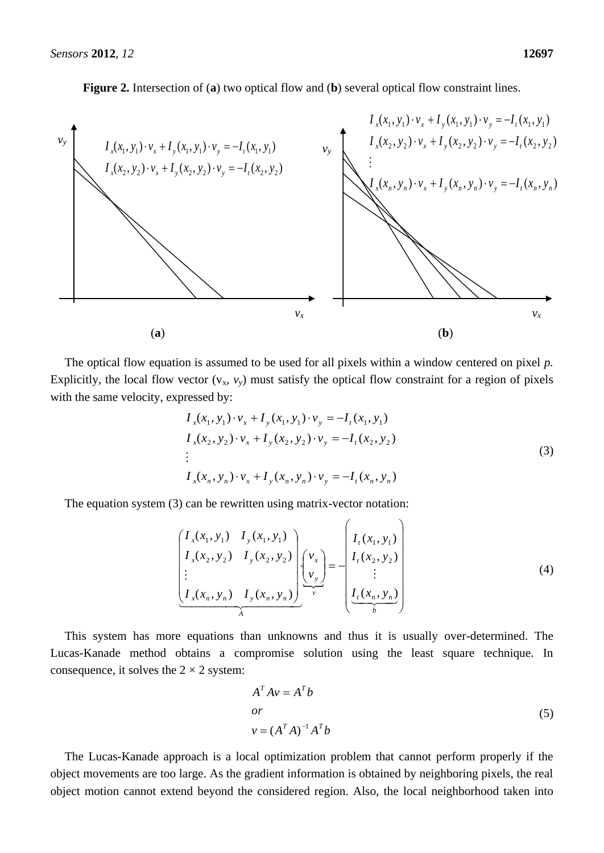



The optical flow equation is assumed to be used for all pixels within a window centered on pixel *p.* Explicitly, the local flow vector  $(v_x, v_y)$  must satisfy the optical flow constraint for a region of pixels with the same velocity, expressed by:

$$
I_x(x_1, y_1) \cdot v_x + I_y(x_1, y_1) \cdot v_y = -I_t(x_1, y_1)
$$
  
\n
$$
I_x(x_2, y_2) \cdot v_x + I_y(x_2, y_2) \cdot v_y = -I_t(x_2, y_2)
$$
  
\n
$$
\vdots
$$
  
\n
$$
I_x(x_n, y_n) \cdot v_x + I_y(x_n, y_n) \cdot v_y = -I_t(x_n, y_n)
$$
\n(3)

The equation system (3) can be rewritten using matrix-vector notation:

$$
\left(\frac{I_x(x_1, y_1) - I_y(x_1, y_1)}{I_x(x_2, y_2) - I_y(x_2, y_2)}\right) \left(\frac{v_x}{v_y}\right) = -\left(\frac{I_t(x_1, y_1)}{I_t(x_2, y_2)}\right) \left(\frac{v_x}{v_y}\right) = -\left(\frac{I_t(x_2, y_2)}{\frac{1}{b}}\right) \left(\frac{I_t(x_2, y_2)}{\frac{1}{b}}\right) \tag{4}
$$

This system has more equations than unknowns and thus it is usually over-determined. The Lucas-Kanade method obtains a compromise solution using the least square technique. In consequence, it solves the  $2 \times 2$  system:

$$
AT A v = AT b
$$
  
or  

$$
v = (AT A)^{-1} AT b
$$
 (5)

The Lucas-Kanade approach is a local optimization problem that cannot perform properly if the object movements are too large. As the gradient information is obtained by neighboring pixels, the real object motion cannot extend beyond the considered region. Also, the local neighborhood taken into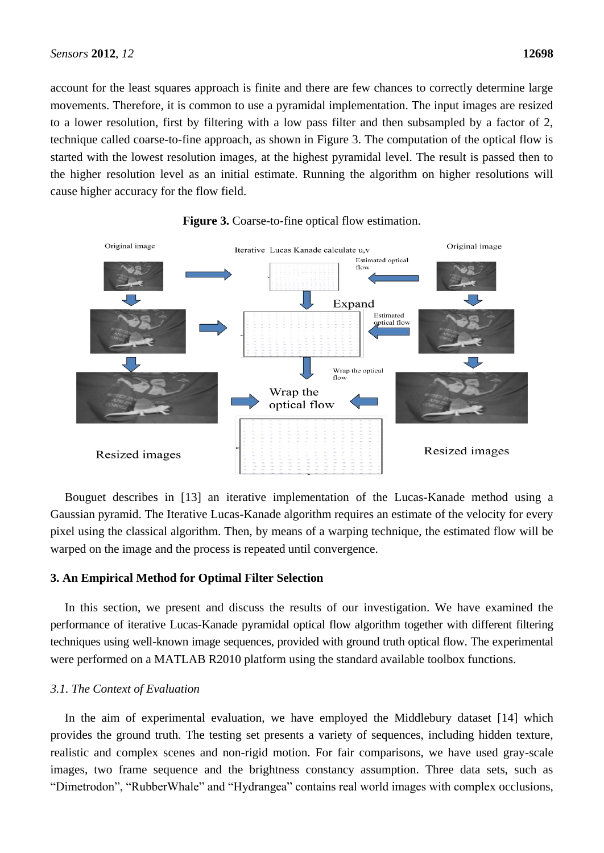account for the least squares approach is finite and there are few chances to correctly determine large movements. Therefore, it is common to use a pyramidal implementation. The input images are resized to a lower resolution, first by filtering with a low pass filter and then subsampled by a factor of 2, technique called coarse-to-fine approach, as shown in Figure 3. The computation of the optical flow is started with the lowest resolution images, at the highest pyramidal level. The result is passed then to the higher resolution level as an initial estimate. Running the algorithm on higher resolutions will cause higher accuracy for the flow field.



# **Figure 3.** Coarse-to-fine optical flow estimation.

Bouguet describes in [13] an iterative implementation of the Lucas-Kanade method using a Gaussian pyramid. The Iterative Lucas-Kanade algorithm requires an estimate of the velocity for every pixel using the classical algorithm. Then, by means of a warping technique, the estimated flow will be warped on the image and the process is repeated until convergence.

# **3. An Empirical Method for Optimal Filter Selection**

In this section, we present and discuss the results of our investigation. We have examined the performance of iterative Lucas-Kanade pyramidal optical flow algorithm together with different filtering techniques using well-known image sequences, provided with ground truth optical flow. The experimental were performed on a MATLAB R2010 platform using the standard available toolbox functions.

# *3.1. The Context of Evaluation*

In the aim of experimental evaluation, we have employed the Middlebury dataset [14] which provides the ground truth. The testing set presents a variety of sequences, including hidden texture, realistic and complex scenes and non-rigid motion. For fair comparisons, we have used gray-scale images, two frame sequence and the brightness constancy assumption. Three data sets, such as "Dimetrodon", "RubberWhale" and "Hydrangea" contains real world images with complex occlusions,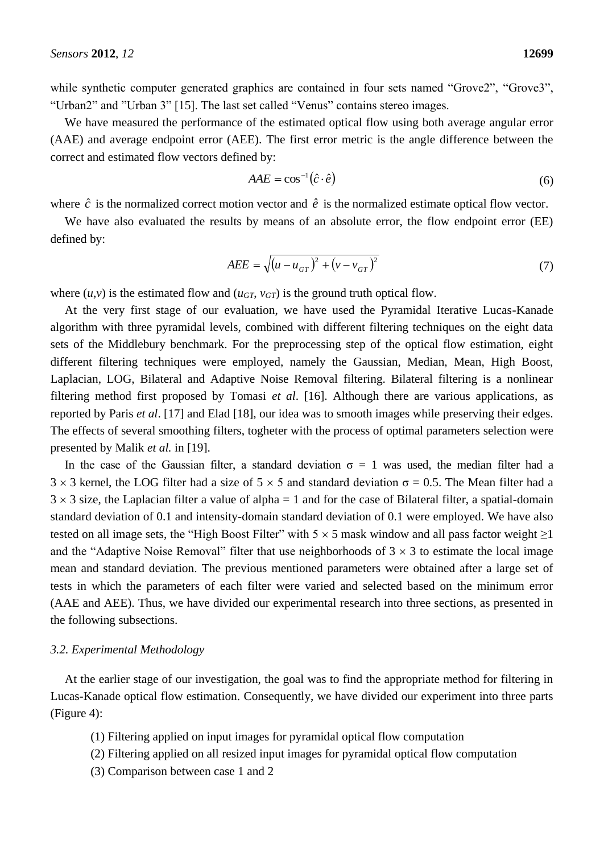while synthetic computer generated graphics are contained in four sets named "Grove2", "Grove3", "Urban2" and "Urban 3" [15]. The last set called "Venus" contains stereo images.

We have measured the performance of the estimated optical flow using both average angular error (AAE) and average endpoint error (AEE). The first error metric is the angle difference between the correct and estimated flow vectors defined by:

$$
AAE = \cos^{-1}(\hat{c} \cdot \hat{e})
$$
\n<sup>(6)</sup>

where  $\hat{c}$  is the normalized correct motion vector and  $\hat{e}$  is the normalized estimate optical flow vector.

We have also evaluated the results by means of an absolute error, the flow endpoint error (EE) defined by:

$$
AEE = \sqrt{(u - u_{GT})^2 + (v - v_{GT})^2}
$$
 (7)

where  $(u, v)$  is the estimated flow and  $(u_{GT}, v_{GT})$  is the ground truth optical flow.

At the very first stage of our evaluation, we have used the Pyramidal Iterative Lucas-Kanade algorithm with three pyramidal levels, combined with different filtering techniques on the eight data sets of the Middlebury benchmark. For the preprocessing step of the optical flow estimation, eight different filtering techniques were employed, namely the Gaussian, Median, Mean, High Boost, Laplacian, LOG, Bilateral and Adaptive Noise Removal filtering. Bilateral filtering is a nonlinear filtering method first proposed by Tomasi *et al*. [16]. Although there are various applications, as reported by Paris *et al*. [17] and Elad [18], our idea was to smooth images while preserving their edges. The effects of several smoothing filters, togheter with the process of optimal parameters selection were presented by Malik *et al.* in [19].

In the case of the Gaussian filter, a standard deviation  $\sigma = 1$  was used, the median filter had a  $3 \times 3$  kernel, the LOG filter had a size of  $5 \times 5$  and standard deviation  $\sigma = 0.5$ . The Mean filter had a  $3 \times 3$  size, the Laplacian filter a value of alpha = 1 and for the case of Bilateral filter, a spatial-domain standard deviation of 0.1 and intensity-domain standard deviation of 0.1 were employed. We have also tested on all image sets, the "High Boost Filter" with  $5 \times 5$  mask window and all pass factor weight  $\geq 1$ and the "Adaptive Noise Removal" filter that use neighborhoods of  $3 \times 3$  to estimate the local image mean and standard deviation. The previous mentioned parameters were obtained after a large set of tests in which the parameters of each filter were varied and selected based on the minimum error (AAE and AEE). Thus, we have divided our experimental research into three sections, as presented in the following subsections.

#### *3.2. Experimental Methodology*

At the earlier stage of our investigation, the goal was to find the appropriate method for filtering in Lucas-Kanade optical flow estimation. Consequently, we have divided our experiment into three parts (Figure 4):

- (1) Filtering applied on input images for pyramidal optical flow computation
- (2) Filtering applied on all resized input images for pyramidal optical flow computation
- (3) Comparison between case 1 and 2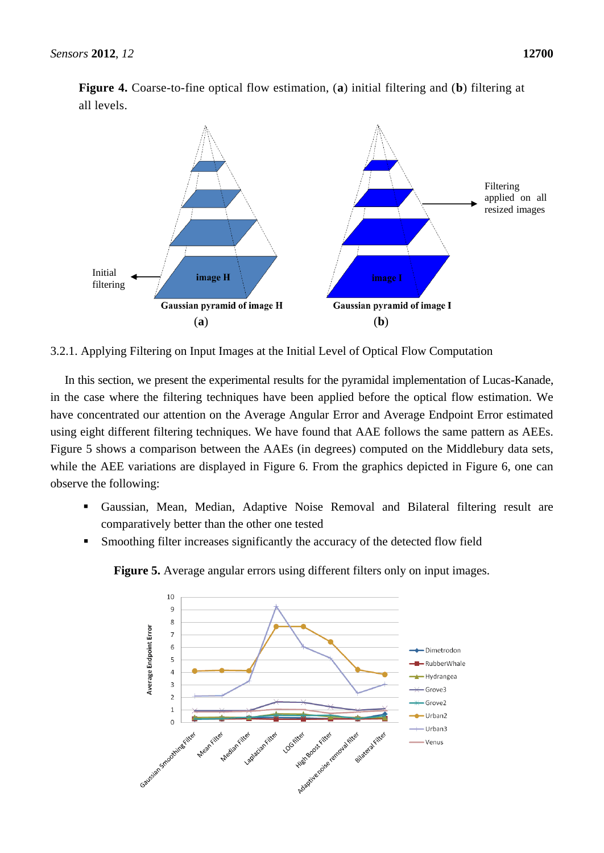

**Figure 4.** Coarse-to-fine optical flow estimation, (**a**) initial filtering and (**b**) filtering at all levels.

3.2.1. Applying Filtering on Input Images at the Initial Level of Optical Flow Computation

In this section, we present the experimental results for the pyramidal implementation of Lucas-Kanade, in the case where the filtering techniques have been applied before the optical flow estimation. We have concentrated our attention on the Average Angular Error and Average Endpoint Error estimated using eight different filtering techniques. We have found that AAE follows the same pattern as AEEs. Figure 5 shows a comparison between the AAEs (in degrees) computed on the Middlebury data sets, while the AEE variations are displayed in Figure 6. From the graphics depicted in Figure 6, one can observe the following:

- Gaussian, Mean, Median, Adaptive Noise Removal and Bilateral filtering result are comparatively better than the other one tested
- Smoothing filter increases significantly the accuracy of the detected flow field

**Figure 5.** Average angular errors using different filters only on input images.

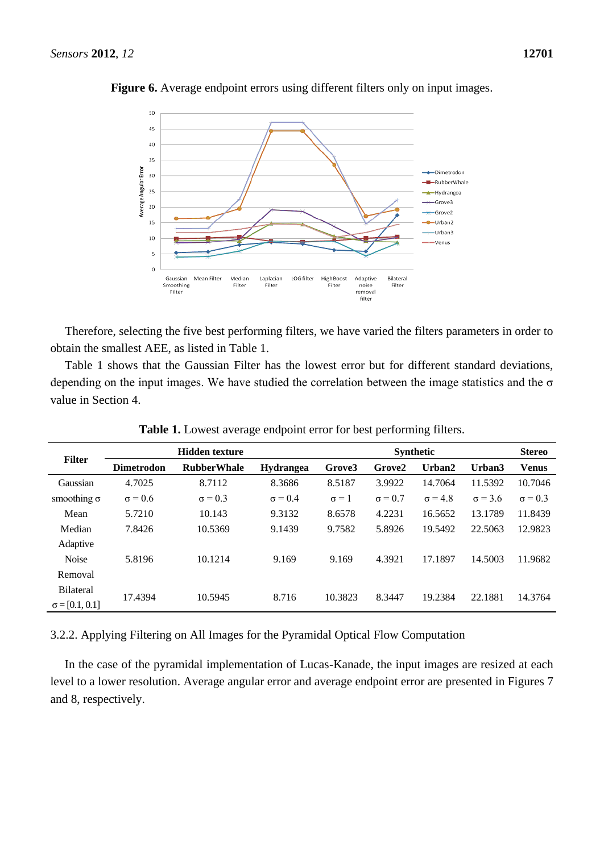

Figure 6. Average endpoint errors using different filters only on input images.

Therefore, selecting the five best performing filters, we have varied the filters parameters in order to obtain the smallest AEE, as listed in Table 1.

Table 1 shows that the Gaussian Filter has the lowest error but for different standard deviations, depending on the input images. We have studied the correlation between the image statistics and the  $\sigma$ value in Section 4.

| <b>Filter</b>         | <b>Hidden texture</b> |                    |                  | <b>Synthetic</b> |                |                |                | <b>Stereo</b>  |
|-----------------------|-----------------------|--------------------|------------------|------------------|----------------|----------------|----------------|----------------|
|                       | <b>Dimetrodon</b>     | <b>RubberWhale</b> | <b>Hydrangea</b> | Grove3           | Grove2         | Urban2         | Urban3         | <b>Venus</b>   |
| Gaussian              | 4.7025                | 8.7112             | 8.3686           | 8.5187           | 3.9922         | 14.7064        | 11.5392        | 10.7046        |
| smoothing $\sigma$    | $\sigma$ = 0.6        | $\sigma = 0.3$     | $\sigma = 0.4$   | $\sigma = 1$     | $\sigma = 0.7$ | $\sigma = 4.8$ | $\sigma$ = 3.6 | $\sigma = 0.3$ |
| Mean                  | 5.7210                | 10.143             | 9.3132           | 8.6578           | 4.2231         | 16.5652        | 13.1789        | 11.8439        |
| Median                | 7.8426                | 10.5369            | 9.1439           | 9.7582           | 5.8926         | 19.5492        | 22.5063        | 12.9823        |
| Adaptive              |                       |                    |                  |                  |                |                |                |                |
| <b>Noise</b>          | 5.8196                | 10.1214            | 9.169            | 9.169            | 4.3921         | 17.1897        | 14.5003        | 11.9682        |
| Removal               |                       |                    |                  |                  |                |                |                |                |
| <b>Bilateral</b>      | 17.4394               | 10.5945            | 8.716            | 10.3823          | 8.3447         | 19.2384        | 22.1881        | 14.3764        |
| $\sigma = [0.1, 0.1]$ |                       |                    |                  |                  |                |                |                |                |

**Table 1.** Lowest average endpoint error for best performing filters.

3.2.2. Applying Filtering on All Images for the Pyramidal Optical Flow Computation

In the case of the pyramidal implementation of Lucas-Kanade, the input images are resized at each level to a lower resolution. Average angular error and average endpoint error are presented in Figures 7 and 8, respectively.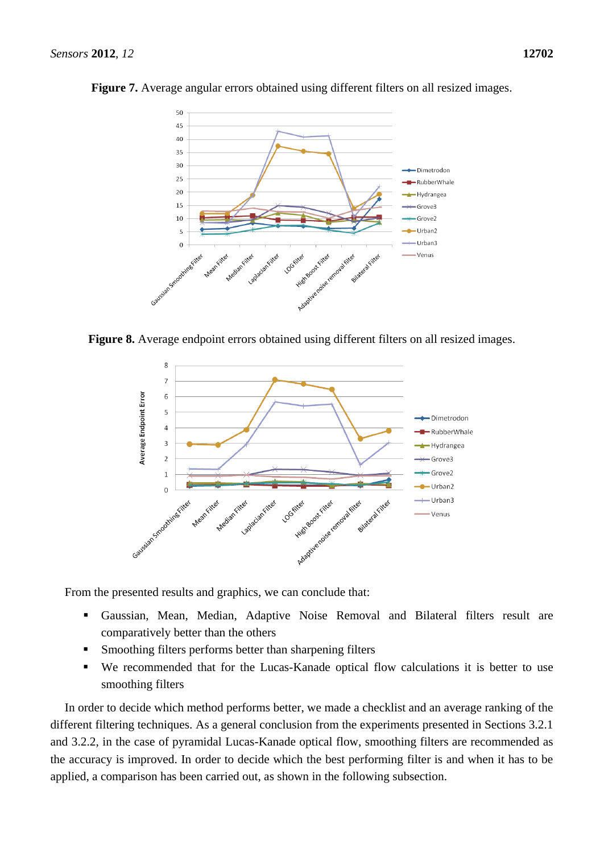

**Figure 7.** Average angular errors obtained using different filters on all resized images.

**Figure 8.** Average endpoint errors obtained using different filters on all resized images.



From the presented results and graphics, we can conclude that:

- Gaussian, Mean, Median, Adaptive Noise Removal and Bilateral filters result are comparatively better than the others
- Smoothing filters performs better than sharpening filters
- We recommended that for the Lucas-Kanade optical flow calculations it is better to use smoothing filters

In order to decide which method performs better, we made a checklist and an average ranking of the different filtering techniques. As a general conclusion from the experiments presented in Sections 3.2.1 and 3.2.2, in the case of pyramidal Lucas-Kanade optical flow, smoothing filters are recommended as the accuracy is improved. In order to decide which the best performing filter is and when it has to be applied, a comparison has been carried out, as shown in the following subsection.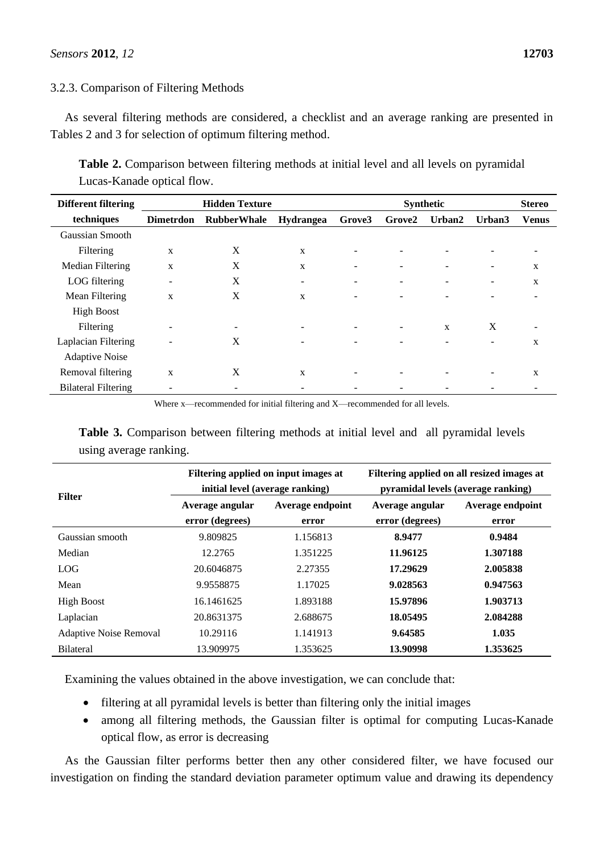# 3.2.3. Comparison of Filtering Methods

As several filtering methods are considered, a checklist and an average ranking are presented in Tables 2 and 3 for selection of optimum filtering method.

**Table 2.** Comparison between filtering methods at initial level and all levels on pyramidal Lucas-Kanade optical flow.

| <b>Different filtering</b> |                  | <b>Hidden Texture</b> |                          |        |        | <b>Synthetic</b> |                    | <b>Stereo</b> |
|----------------------------|------------------|-----------------------|--------------------------|--------|--------|------------------|--------------------|---------------|
| techniques                 | <b>Dimetrdon</b> | <b>RubberWhale</b>    | Hydrangea                | Grove3 | Grove2 | Urban2           | Urban <sub>3</sub> | <b>Venus</b>  |
| Gaussian Smooth            |                  |                       |                          |        |        |                  |                    |               |
| Filtering                  | $\mathbf{x}$     | X                     | X                        |        |        |                  |                    |               |
| Median Filtering           | $\mathbf{x}$     | X                     | $\mathbf{x}$             | ۰      |        |                  | $\qquad \qquad -$  | X             |
| LOG filtering              | -                | X                     | $\overline{\phantom{a}}$ | ۰      | -      |                  | $\qquad \qquad -$  | X             |
| Mean Filtering             | X                | X                     | X                        | ۰      |        |                  |                    |               |
| <b>High Boost</b>          |                  |                       |                          |        |        |                  |                    |               |
| Filtering                  |                  | ۰                     | -                        | -      | ۰      | $\mathbf{x}$     | X                  | -             |
| Laplacian Filtering        |                  | X                     |                          |        |        |                  | ۰                  | X             |
| <b>Adaptive Noise</b>      |                  |                       |                          |        |        |                  |                    |               |
| Removal filtering          | X                | X                     | X                        | ۰      |        |                  | -                  | X             |
| <b>Bilateral Filtering</b> |                  |                       |                          |        |        |                  |                    |               |

Where x—recommended for initial filtering and X—recommended for all levels.

**Table 3.** Comparison between filtering methods at initial level and all pyramidal levels using average ranking.

|                               |                                    | Filtering applied on input images at<br>initial level (average ranking) | Filtering applied on all resized images at<br>pyramidal levels (average ranking) |                           |  |
|-------------------------------|------------------------------------|-------------------------------------------------------------------------|----------------------------------------------------------------------------------|---------------------------|--|
| Filter                        | Average angular<br>error (degrees) | Average endpoint<br>error                                               | Average angular<br>error (degrees)                                               | Average endpoint<br>error |  |
| Gaussian smooth               | 9.809825                           | 1.156813                                                                | 8.9477                                                                           | 0.9484                    |  |
| Median                        | 12.2765                            | 1.351225                                                                | 11.96125                                                                         | 1.307188                  |  |
| LOG                           | 20.6046875                         | 2.27355                                                                 | 17.29629                                                                         | 2.005838                  |  |
| Mean                          | 9.9558875                          | 1.17025                                                                 | 9.028563                                                                         | 0.947563                  |  |
| <b>High Boost</b>             | 16.1461625                         | 1.893188                                                                | 15.97896                                                                         | 1.903713                  |  |
| Laplacian                     | 20.8631375                         | 2.688675                                                                | 18.05495                                                                         | 2.084288                  |  |
| <b>Adaptive Noise Removal</b> | 10.29116                           | 1.141913                                                                | 9.64585                                                                          | 1.035                     |  |
| Bilateral                     | 13.909975                          | 1.353625                                                                | 13.90998                                                                         | 1.353625                  |  |

Examining the values obtained in the above investigation, we can conclude that:

- filtering at all pyramidal levels is better than filtering only the initial images
- among all filtering methods, the Gaussian filter is optimal for computing Lucas-Kanade optical flow, as error is decreasing

As the Gaussian filter performs better then any other considered filter, we have focused our investigation on finding the standard deviation parameter optimum value and drawing its dependency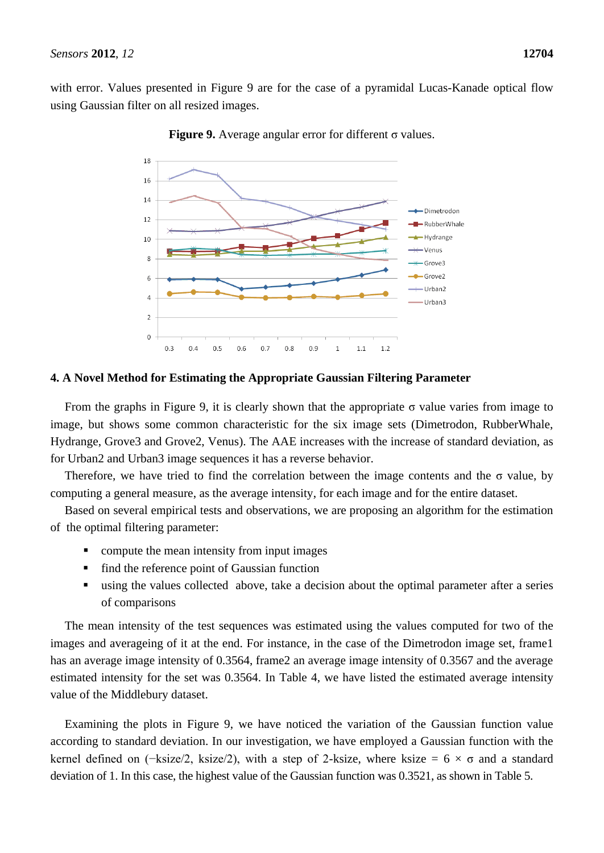with error. Values presented in Figure 9 are for the case of a pyramidal Lucas-Kanade optical flow using Gaussian filter on all resized images.



**Figure 9.** Average angular error for different σ values.

#### **4. A Novel Method for Estimating the Appropriate Gaussian Filtering Parameter**

From the graphs in Figure 9, it is clearly shown that the appropriate  $\sigma$  value varies from image to image, but shows some common characteristic for the six image sets (Dimetrodon, RubberWhale, Hydrange, Grove3 and Grove2, Venus). The AAE increases with the increase of standard deviation, as for Urban2 and Urban3 image sequences it has a reverse behavior.

Therefore, we have tried to find the correlation between the image contents and the  $\sigma$  value, by computing a general measure, as the average intensity, for each image and for the entire dataset.

Based on several empirical tests and observations, we are proposing an algorithm for the estimation of the optimal filtering parameter:

- compute the mean intensity from input images
- find the reference point of Gaussian function
- using the values collected above, take a decision about the optimal parameter after a series of comparisons

The mean intensity of the test sequences was estimated using the values computed for two of the images and averageing of it at the end. For instance, in the case of the Dimetrodon image set, frame1 has an average image intensity of 0.3564, frame2 an average image intensity of 0.3567 and the average estimated intensity for the set was 0.3564. In Table 4, we have listed the estimated average intensity value of the Middlebury dataset.

Examining the plots in Figure 9, we have noticed the variation of the Gaussian function value according to standard deviation. In our investigation, we have employed a Gaussian function with the kernel defined on (−ksize/2, ksize/2), with a step of 2-ksize, where ksize = 6  $\times$   $\sigma$  and a standard deviation of 1. In this case, the highest value of the Gaussian function was 0.3521, as shown in Table 5.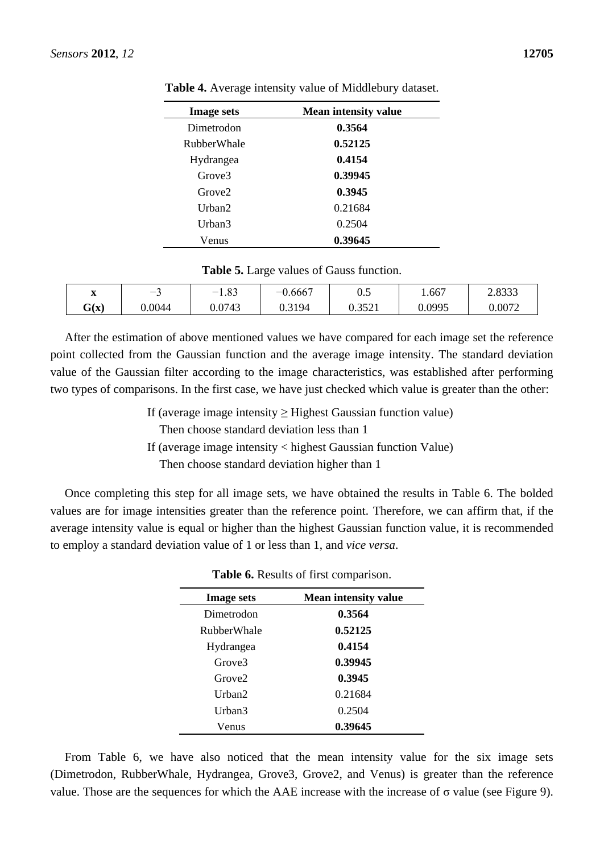| <b>Image sets</b>  | <b>Mean intensity value</b> |
|--------------------|-----------------------------|
| Dimetrodon         | 0.3564                      |
| <b>RubberWhale</b> | 0.52125                     |
| Hydrangea          | 0.4154                      |
| Grove <sup>3</sup> | 0.39945                     |
| Grove <sub>2</sub> | 0.3945                      |
| Urban2             | 0.21684                     |
| Urban3             | 0.2504                      |
| Venus              | 0.39645                     |

**Table 4.** Average intensity value of Middlebury dataset.

**Table 5.** Large values of Gauss function.

| $\mathbf{v}$<br>$\boldsymbol{\Lambda}$ | ◠<br>$\overline{\phantom{a}}$<br>ັ | $\Omega$<br>$\overline{\phantom{0}}$<br>1.02 | $-0.6667$ | v.J            | 1.667  | റ റാറ<br>2.8333 |
|----------------------------------------|------------------------------------|----------------------------------------------|-----------|----------------|--------|-----------------|
| G(x)                                   | 0.0044                             | .0743<br>v.v /                               | 0.3194    | 2521<br>0.5521 | 0.0995 | 0.0072          |

After the estimation of above mentioned values we have compared for each image set the reference point collected from the Gaussian function and the average image intensity. The standard deviation value of the Gaussian filter according to the image characteristics, was established after performing two types of comparisons. In the first case, we have just checked which value is greater than the other:

> If (average image intensity  $\geq$  Highest Gaussian function value) Then choose standard deviation less than 1 If (average image intensity < highest Gaussian function Value)

Then choose standard deviation higher than 1

Once completing this step for all image sets, we have obtained the results in Table 6. The bolded values are for image intensities greater than the reference point. Therefore, we can affirm that, if the average intensity value is equal or higher than the highest Gaussian function value, it is recommended to employ a standard deviation value of 1 or less than 1, and *vice versa*.

| <b>Image sets</b>  | <b>Mean intensity value</b> |
|--------------------|-----------------------------|
| Dimetrodon         | 0.3564                      |
| <b>RubberWhale</b> | 0.52125                     |
| Hydrangea          | 0.4154                      |
| Grove3             | 0.39945                     |
| Grove <sub>2</sub> | 0.3945                      |
| Urban2             | 0.21684                     |
| Urban3             | 0.2504                      |
| Venus              | 0.39645                     |

**Table 6.** Results of first comparison.

From Table 6, we have also noticed that the mean intensity value for the six image sets (Dimetrodon, RubberWhale, Hydrangea, Grove3, Grove2, and Venus) is greater than the reference value. Those are the sequences for which the AAE increase with the increase of σ value (see Figure 9).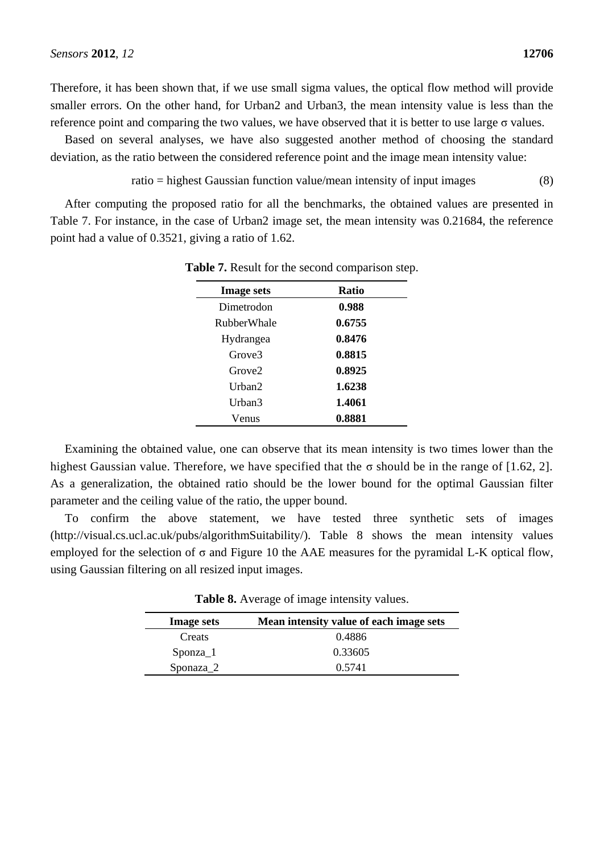Therefore, it has been shown that, if we use small sigma values, the optical flow method will provide smaller errors. On the other hand, for Urban2 and Urban3, the mean intensity value is less than the reference point and comparing the two values, we have observed that it is better to use large σ values.

Based on several analyses, we have also suggested another method of choosing the standard deviation, as the ratio between the considered reference point and the image mean intensity value:

ratio = highest Gaussian function value/mean intensity of input images (8)

After computing the proposed ratio for all the benchmarks, the obtained values are presented in Table 7. For instance, in the case of Urban2 image set, the mean intensity was 0.21684, the reference point had a value of 0.3521, giving a ratio of 1.62.

| <b>Image sets</b>  | <b>Ratio</b> |
|--------------------|--------------|
| Dimetrodon         | 0.988        |
| <b>RubberWhale</b> | 0.6755       |
| Hydrangea          | 0.8476       |
| Grove <sup>3</sup> | 0.8815       |
| Grove <sub>2</sub> | 0.8925       |
| Urban2             | 1.6238       |
| Urban3             | 1.4061       |
| Venus              | 0.8881       |

**Table 7.** Result for the second comparison step.

Examining the obtained value, one can observe that its mean intensity is two times lower than the highest Gaussian value. Therefore, we have specified that the  $\sigma$  should be in the range of [1.62, 2]. As a generalization, the obtained ratio should be the lower bound for the optimal Gaussian filter parameter and the ceiling value of the ratio, the upper bound.

To confirm the above statement, we have tested three synthetic sets of images (http://visual.cs.ucl.ac.uk/pubs/algorithmSuitability/). Table 8 shows the mean intensity values employed for the selection of  $\sigma$  and Figure 10 the AAE measures for the pyramidal L-K optical flow, using Gaussian filtering on all resized input images.

| <b>Image sets</b> | Mean intensity value of each image sets |
|-------------------|-----------------------------------------|
| Creats            | 0.4886                                  |
| $Sponza_1$        | 0.33605                                 |
| $Spanaza_2$       | 0.5741                                  |

**Table 8.** Average of image intensity values.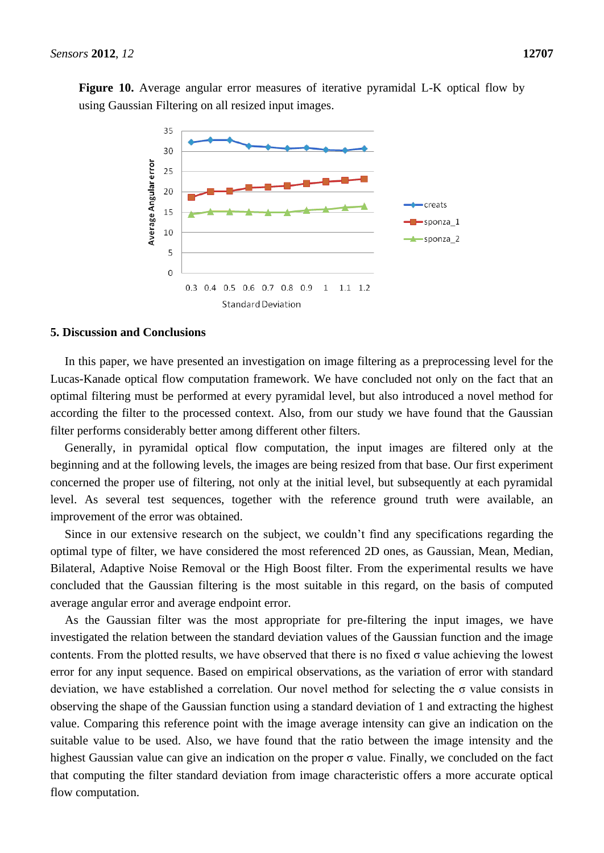**Figure 10.** Average angular error measures of iterative pyramidal L-K optical flow by using Gaussian Filtering on all resized input images.



#### **5. Discussion and Conclusions**

In this paper, we have presented an investigation on image filtering as a preprocessing level for the Lucas-Kanade optical flow computation framework. We have concluded not only on the fact that an optimal filtering must be performed at every pyramidal level, but also introduced a novel method for according the filter to the processed context. Also, from our study we have found that the Gaussian filter performs considerably better among different other filters.

Generally, in pyramidal optical flow computation, the input images are filtered only at the beginning and at the following levels, the images are being resized from that base. Our first experiment concerned the proper use of filtering, not only at the initial level, but subsequently at each pyramidal level. As several test sequences, together with the reference ground truth were available, an improvement of the error was obtained.

Since in our extensive research on the subject, we couldn't find any specifications regarding the optimal type of filter, we have considered the most referenced 2D ones, as Gaussian, Mean, Median, Bilateral, Adaptive Noise Removal or the High Boost filter. From the experimental results we have concluded that the Gaussian filtering is the most suitable in this regard, on the basis of computed average angular error and average endpoint error.

As the Gaussian filter was the most appropriate for pre-filtering the input images, we have investigated the relation between the standard deviation values of the Gaussian function and the image contents. From the plotted results, we have observed that there is no fixed  $\sigma$  value achieving the lowest error for any input sequence. Based on empirical observations, as the variation of error with standard deviation, we have established a correlation. Our novel method for selecting the σ value consists in observing the shape of the Gaussian function using a standard deviation of 1 and extracting the highest value. Comparing this reference point with the image average intensity can give an indication on the suitable value to be used. Also, we have found that the ratio between the image intensity and the highest Gaussian value can give an indication on the proper σ value. Finally, we concluded on the fact that computing the filter standard deviation from image characteristic offers a more accurate optical flow computation.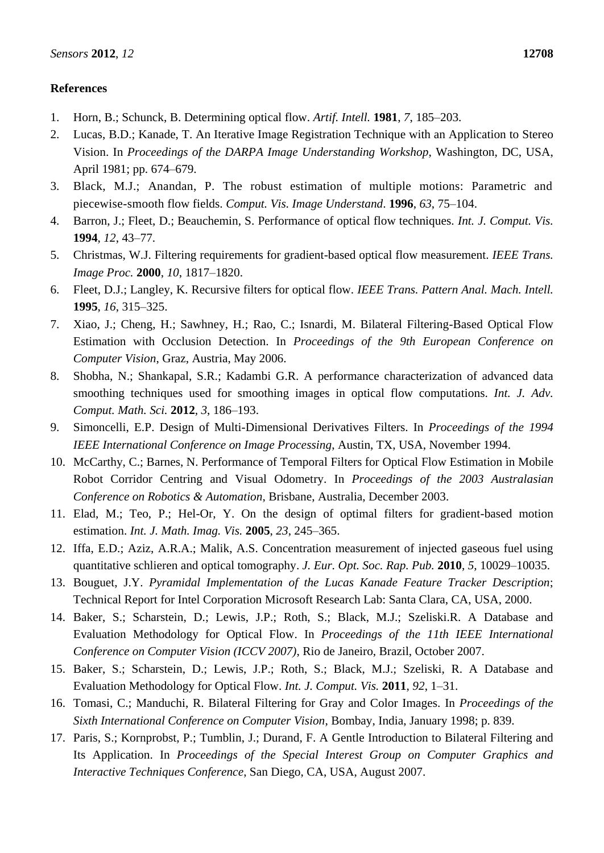# **References**

- 1. Horn, B.; Schunck, B. Determining optical flow. *Artif. Intell.* **1981**, *7*, 185–203.
- 2. Lucas, B.D.; Kanade, T. An Iterative Image Registration Technique with an Application to Stereo Vision. In *Proceedings of the DARPA Image Understanding Workshop*, Washington, DC, USA, April 1981; pp. 674–679.
- 3. Black, M.J.; Anandan, P. The robust estimation of multiple motions: Parametric and piecewise-smooth flow fields. *Comput. Vis. Image Understand*. **1996**, *63*, 75–104.
- 4. Barron, J.; Fleet, D.; Beauchemin, S. Performance of optical flow techniques. *Int. J. Comput. Vis.* **1994**, *12*, 43–77.
- 5. Christmas, W.J. Filtering requirements for gradient-based optical flow measurement. *IEEE Trans. Image Proc.* **2000**, *10*, 1817–1820.
- 6. Fleet, D.J.; Langley, K. Recursive filters for optical flow. *IEEE Trans. Pattern Anal. Mach. Intell.* **1995**, *16*, 315–325.
- 7. Xiao, J.; Cheng, H.; Sawhney, H.; Rao, C.; Isnardi, M. Bilateral Filtering-Based Optical Flow Estimation with Occlusion Detection. In *Proceedings of the 9th European Conference on Computer Vision*, Graz, Austria, May 2006.
- 8. Shobha, N.; Shankapal, S.R.; Kadambi G.R. A performance characterization of advanced data smoothing techniques used for smoothing images in optical flow computations. *Int. J. Adv. Comput. Math. Sci.* **2012**, *3*, 186–193.
- 9. Simoncelli, E.P. Design of Multi-Dimensional Derivatives Filters. In *Proceedings of the 1994 IEEE International Conference on Image Processing*, Austin, TX, USA, November 1994.
- 10. McCarthy, C.; Barnes, N. Performance of Temporal Filters for Optical Flow Estimation in Mobile Robot Corridor Centring and Visual Odometry. In *Proceedings of the 2003 Australasian Conference on Robotics & Automation*, Brisbane, Australia, December 2003.
- 11. Elad, M.; Teo, P.; Hel-Or, Y. On the design of optimal filters for gradient-based motion estimation. *Int. J. Math. Imag. Vis.* **2005**, *23*, 245–365.
- 12. Iffa, E.D.; Aziz, A.R.A.; Malik, A.S. Concentration measurement of injected gaseous fuel using quantitative schlieren and optical tomography. *J. Eur. Opt. Soc. Rap. Pub.* **2010**, *5*, 10029–10035.
- 13. Bouguet, J.Y. *Pyramidal Implementation of the Lucas Kanade Feature Tracker Description*; Technical Report for Intel Corporation Microsoft Research Lab: Santa Clara, CA, USA, 2000.
- 14. Baker, S.; Scharstein, D.; Lewis, J.P.; Roth, S.; Black, M.J.; Szeliski.R. A Database and Evaluation Methodology for Optical Flow. In *Proceedings of the 11th IEEE International Conference on Computer Vision (ICCV 2007)*, Rio de Janeiro, Brazil, October 2007.
- 15. Baker, S.; Scharstein, D.; Lewis, J.P.; Roth, S.; Black, M.J.; Szeliski, R. A Database and Evaluation Methodology for Optical Flow. *Int. J. Comput. Vis.* **2011**, *92*, 1–31.
- 16. Tomasi, C.; Manduchi, R. Bilateral Filtering for Gray and Color Images. In *Proceedings of the Sixth International Conference on Computer Vision*, Bombay, India, January 1998; p. 839.
- 17. Paris, S.; Kornprobst, P.; Tumblin, J.; Durand, F. A Gentle Introduction to Bilateral Filtering and Its Application. In *Proceedings of the Special Interest Group on Computer Graphics and Interactive Techniques Conference*, San Diego, CA, USA, August 2007.